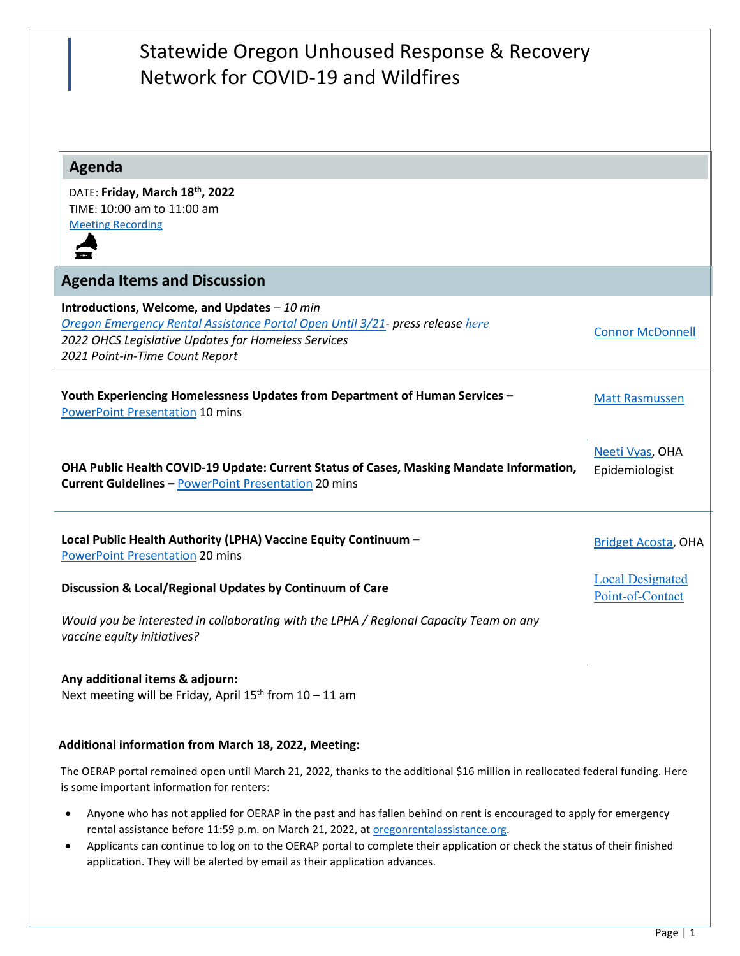# Statewide Oregon Unhoused Response & Recovery Network for COVID-19 and Wildfires

## **Agenda**

DATE: **Friday, March 18th, 2022** TIME: 10:00 am to 11:00 am [Meeting Recording](https://youtu.be/cFexOQYM03c)



### **Agenda Items and Discussion**

**Introductions, Welcome, and Updates** *– 10 min [Oregon Emergency Rental Assistance Portal Open Until 3/21-](https://oerap.oregon.gov/orera_era3#/) press release [here](https://www.oregon.gov/ohcs/about-us/Documents/press/3-15-2022-OERAP-Update-PR.pdf) 2022 OHCS Legislative Updates for Homeless Services 2021 Point-in-Time Count Report*  [Connor McDonnell](mailto:connor.mcdonnell@hcs.oregon.gov) **Youth Experiencing Homelessness Updates from Department of Human Services –** [PowerPoint Presentation](https://www.oregon.gov/ohcs/get-involved/Documents/committees/HTF/03-18-2022-UORR-Meeting.pdf) 10 mins [Matt Rasmussen](mailto:Matthew.RASMUSSEN@dhsoha.state.or.us) **OHA Public Health COVID-19 Update: Current Status of Cases, Masking Mandate Information, Current Guidelines –** [PowerPoint Presentation](https://www.oregon.gov/ohcs/get-involved/Documents/committees/HTF/03-18-2022-OHA-OHCS-NV.pdf) 20 mins [Neeti Vyas,](mailto:Neeti.Vyas@dhsoha.state.or.us) OHA Epidemiologist **Local Public Health Authority (LPHA) Vaccine Equity Continuum –** [PowerPoint Presentation](https://www.oregon.gov/ohcs/get-involved/Documents/committees/HTF/03-18-2022-Vaccine-Equity-Presentation.pdf) 20 mins [Bridget Acosta,](mailto:Bridget.Acosta@dhsoha.state.or.us) OHA

**Discussion & Local/Regional Updates by Continuum of Care** 

*Would you be interested in collaborating with the LPHA / Regional Capacity Team on any vaccine equity initiatives?* 

#### **Any additional items & adjourn:**

Next meeting will be Friday, April  $15<sup>th</sup>$  from  $10 - 11$  am

#### **Additional information from March 18, 2022, Meeting:**

The OERAP portal remained open until March 21, 2022, thanks to the additional \$16 million in reallocated federal funding. Here is some important information for renters:

- Anyone who has not applied for OERAP in the past and has fallen behind on rent is encouraged to apply for emergency rental assistance before 11:59 p.m. on March 21, 2022, at oregonrentalassistance.org.
- Applicants can continue to log on to the OERAP portal to complete their application or check the status of their finished application. They will be alerted by email as their application advances.

[Local Designated](https://www.oregon.gov/ohcs/get-involved/Documents/committees/HTF/Taskforce-Description.pdf)  [Point-of-Contact](https://www.oregon.gov/ohcs/get-involved/Documents/committees/HTF/Taskforce-Description.pdf)